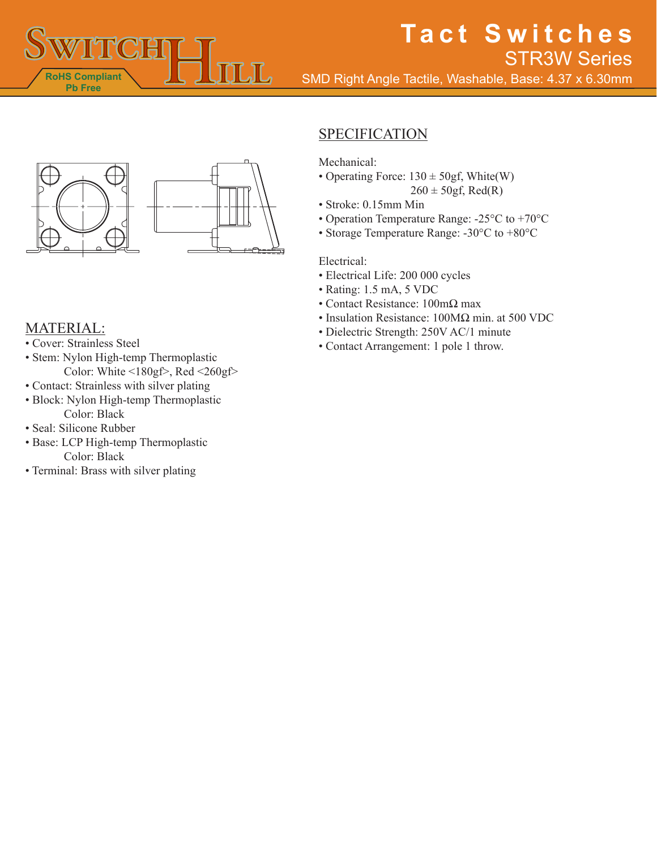

# **Tact Switches** STR3W Series

SMD Right Angle Tactile, Washable, Base: 4.37 x 6.30mm



### MATERIAL:

- Cover: Strainless Steel
- Stem: Nylon High-temp Thermoplastic Color: White  $\leq 180$ gf>, Red  $\leq 260$ gf>
- Contact: Strainless with silver plating
- Block: Nylon High-temp Thermoplastic Color: Black
- Seal: Silicone Rubber
- Base: LCP High-temp Thermoplastic Color: Black
- Terminal: Brass with silver plating

## **SPECIFICATION**

Mechanical:

- Operating Force:  $130 \pm 50$ gf, White(W)
	- $260 \pm 50$ gf, Red(R)
- Stroke: 0.15mm Min
- Operation Temperature Range: -25°C to +70°C
- Storage Temperature Range: -30°C to +80°C

#### Electrical:

- Electrical Life: 200 000 cycles
- Rating: 1.5 mA, 5 VDC
- Contact Resistance: 100mΩ max
- Insulation Resistance: 100MΩ min. at 500 VDC
- Dielectric Strength: 250V AC/1 minute
- Contact Arrangement: 1 pole 1 throw.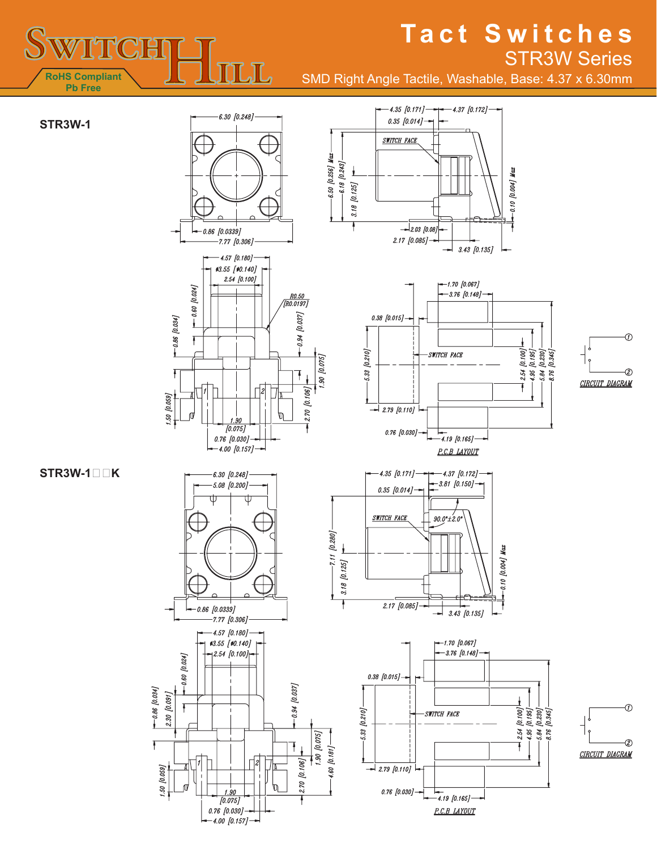## **MTCH** 几 **RoHS Compliant Pb Free**

## **Tact Switches** STR3W Series

SMD Right Angle Tactile, Washable, Base: 4.37 x 6.30mm



 $-4.00$  [0.157]  $-$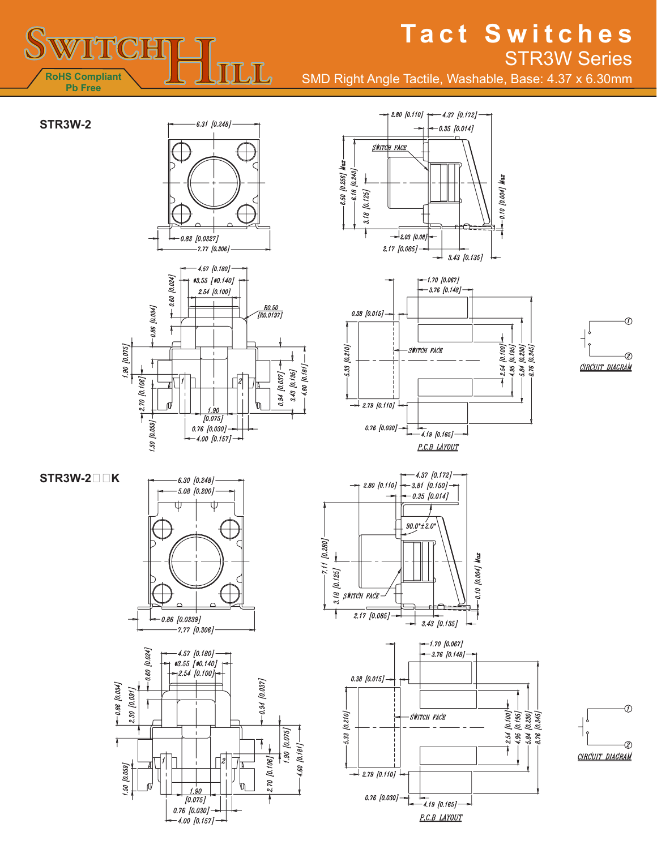## TICH  $\int$ **RoHS Compliant Pb Free**

## **Tact Switches** STR3W Series

SMD Right Angle Tactile, Washable, Base: 4.37 x 6.30mm













**STR3W-2K**